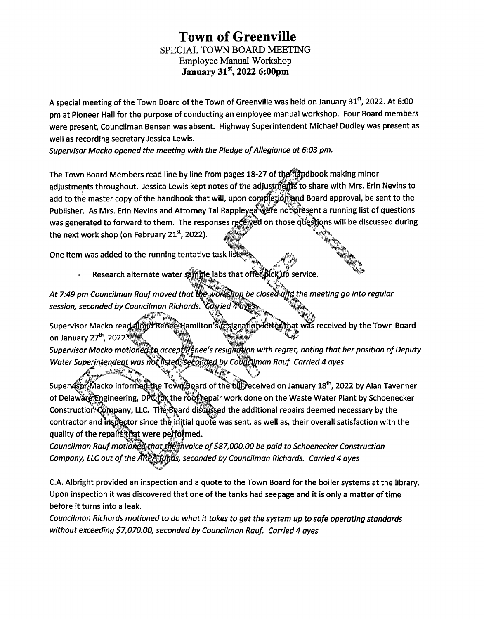## **Town of Greenville** SPECIAL TOWN BOARD MEETING Employee Manual Workshop **January 31st, 2022 6:00pm**

**A special meeting of the Town Board ofthe Town of Greenville was held on January 31st, 2022. At 6:00 pm at Pioneer Hall for the purpose of conducting an employee manual workshop. Four Board members were present, Councilman Bensen was absent. Highway Superintendent Michael Dudley was present as well as recording secretary Jessica Lewis.**

*Supervisor Macko opened the meeting with the Pledge ofAllegiance at 6:03 pm.*

**The Town Board Members read line by line from pages 18-27 oftljpWpdbook making minor adjustments throughout. Jessica Lewis kept notes ofthe adjustr||p^to share with Mrs. Erin Nevins to** add to the master copy of the handbook that will, upon completion and Board approval, be sent to the **Publisher. As Mrs. Erin Nevins and Attorney Tal Rapf ^ "aNjjPte not'pr^s.ent a running list of questions was** generated to forward to them. The responses received on those questions will be discussed during **the next work shop (on February 21st, 2022).** <sup>n</sup> <sup>J</sup>mv

 $\mathcal{A}$ 

**One item was added to the running tentative task**

 $R$ esearch alternate water **sample labs** that offeពីpick ហើ service.

sk. *At 7:49 pm Councilman Raufmoved that im>wbtt\$fj(op be cioseckmd the meeting go into regular session, seconded by Councilman Richards.*

 $S$ upervisor Macko read-**aloud** Renee Hamilton's resignation letter that was received by the Town Board **on January 27th, 20221**

*Supervisor Macko motioned to accept Renee's resignation with regret, noting that her position of Deputy WaterSuperintendent was rk* **<sup>f</sup> by Cofcon** *Rauf. Carried <sup>4</sup> ayes*

.ifV\* ;U»!v ,L ' **Supe SK/lacko inforr ^ \_\_\_\_\_\_ ^gard ofth^Hblll^eceived on January 18th, <sup>2022</sup> by Alan Tavenner of Delaw^^jEpgineering, Dpi^^the r6^|||pair work done on the Waste Water Plant by Schoenecker Constructiori^hn|j>any, LLC. Tlfetbard disdi|j|pd the additional repairs deemed necessary by the contractor and iri^|tor since thq injtial quote was sent, as well as, their overall satisfaction with the**  $\alpha$  quality of the repairs that were performed.

*Councilman Rauf moti6f\$j§d yjjjpvoice of\$87,000.00 be paid to Schoenecker Construction Company, LLC out ofthe* **- 's,** *seconded by Councilman Richards. Carried 4 ayes*

C.A. Albright provided an inspection and a quote to the Town Board for the boiler systems at the library. **Upon inspection it was discovered that one of the tanks had seepage and it is only a matter oftime before it turns into a leak.**

*Councilman Richards motioned to do what it takes to get the system up to safe operating standards without exceeding \$7,070.00, seconded by Councilman Rauf. Carried 4 ayes*